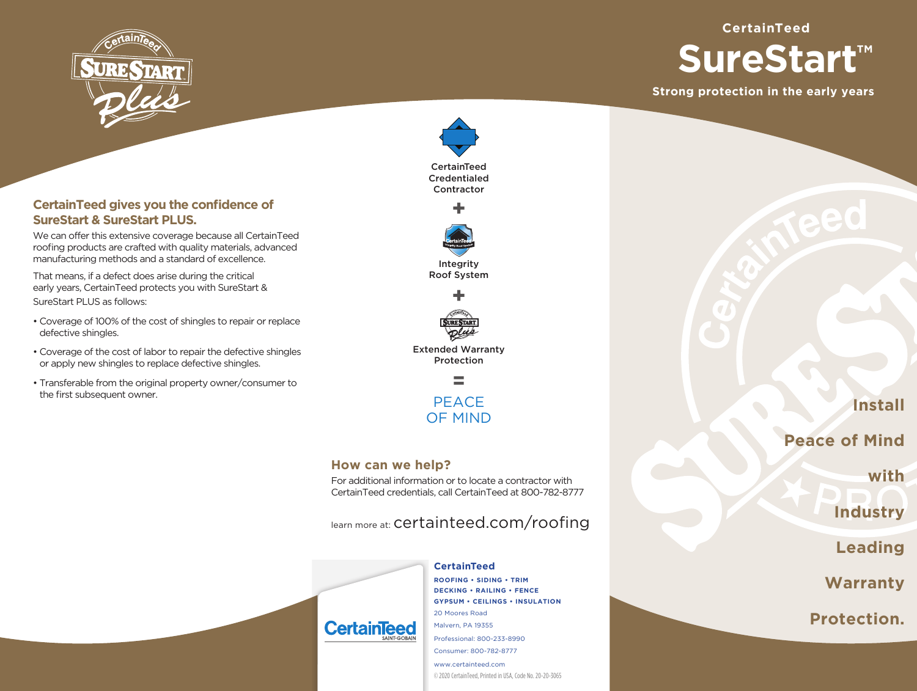

# **SureStart™**

**Strong protection in the early years**

**CertainTeed**





Extended Warranty Protection

> **PEACE** OF MIND

# **How can we help?**

For additional information or to locate a contractor with CertainTeed credentials, call CertainTeed at 800-782-8777

learn more at: certainteed.com/roofing

**ROOFING • SIDING • TRIM DECKING • RAILING • FENCE GYPSUM • CEILINGS • INSULATION** 20 Moores Road Malvern, PA 19355 Professional: 800-233-8990 Consumer: 800-782-8777 www.certainteed.com

© 2020 CertainTeed, Printed in USA, Code No. 20-20-3065

**Install**

**Peace of Mind**

**with**

**Industry**

**Leading**

**Warranty**

**Protection.**

# **CertainTeed gives you the confidence of SureStart & SureStart PLUS.**

We can offer this extensive coverage because all CertainTeed roofing products are crafted with quality materials, advanced manufacturing methods and a standard of excellence.

That means, if a defect does arise during the critical early years, CertainTeed protects you with SureStart & SureStart PLUS as follows:

- Coverage of 100% of the cost of shingles to repair or replace defective shingles.
- Coverage of the cost of labor to repair the defective shingles or apply new shingles to replace defective shingles.
- Transferable from the original property owner/consumer to the first subsequent owner.



**CertainTeed**

# **CertainTe**